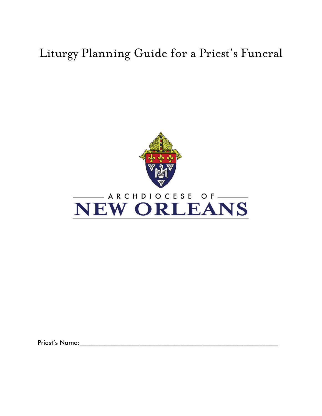## Liturgy Planning Guide for a Priest's Funeral





Priest's Name:\_\_\_\_\_\_\_\_\_\_\_\_\_\_\_\_\_\_\_\_\_\_\_\_\_\_\_\_\_\_\_\_\_\_\_\_\_\_\_\_\_\_\_\_\_\_\_\_\_\_\_\_\_\_\_\_\_\_\_\_\_\_\_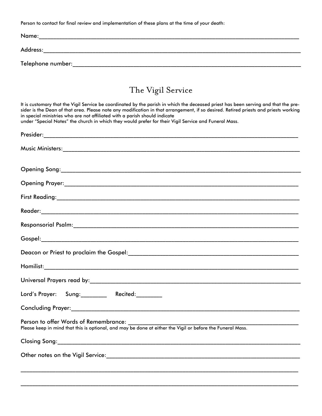Person to contact for final review and implementation of these plans at the time of your death:

| Name:             |
|-------------------|
| Address:          |
| Telephone number: |

## The Vigil Service

It is customary that the Vigil Service be coordinated by the parish in which the deceased priest has been serving and that the presider is the Dean of that area. Please note any modification in that arrangement, if so desired. Retired priests and priests working in special ministries who are not affiliated with a parish should indicate under "Special Notes" the church in which they would prefer for their Vigil Service and Funeral Mass.

\_\_\_\_\_\_\_\_\_\_\_\_\_\_\_\_\_\_\_\_\_\_\_\_\_\_\_\_\_\_\_\_\_\_\_\_\_\_\_\_\_\_\_\_\_\_\_\_\_\_\_\_\_\_\_\_\_\_\_\_\_\_\_\_\_\_\_\_\_\_\_\_\_\_\_\_\_\_\_\_\_\_\_\_\_\_\_\_\_\_\_\_\_\_\_\_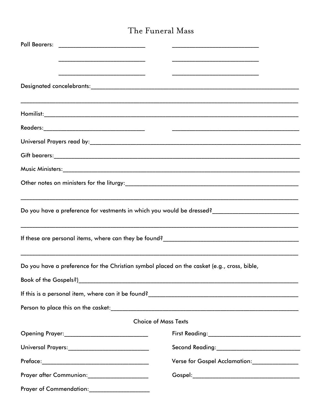## The Funeral Mass

|                                                                                             | Do you have a preference for vestments in which you would be dressed?______________________________ |
|---------------------------------------------------------------------------------------------|-----------------------------------------------------------------------------------------------------|
|                                                                                             |                                                                                                     |
| Do you have a preference for the Christian symbol placed on the casket (e.g., cross, bible, |                                                                                                     |
| Book of the Gospels?)                                                                       |                                                                                                     |
|                                                                                             |                                                                                                     |
|                                                                                             |                                                                                                     |
|                                                                                             | <b>Choice of Mass Texts</b>                                                                         |
|                                                                                             |                                                                                                     |
| Universal Prayers:_____________________________                                             |                                                                                                     |
|                                                                                             | Verse for Gospel Acclamation:________________                                                       |
| Prayer after Communion:_____________________                                                |                                                                                                     |
| Prayer of Commendation:_____________________                                                |                                                                                                     |